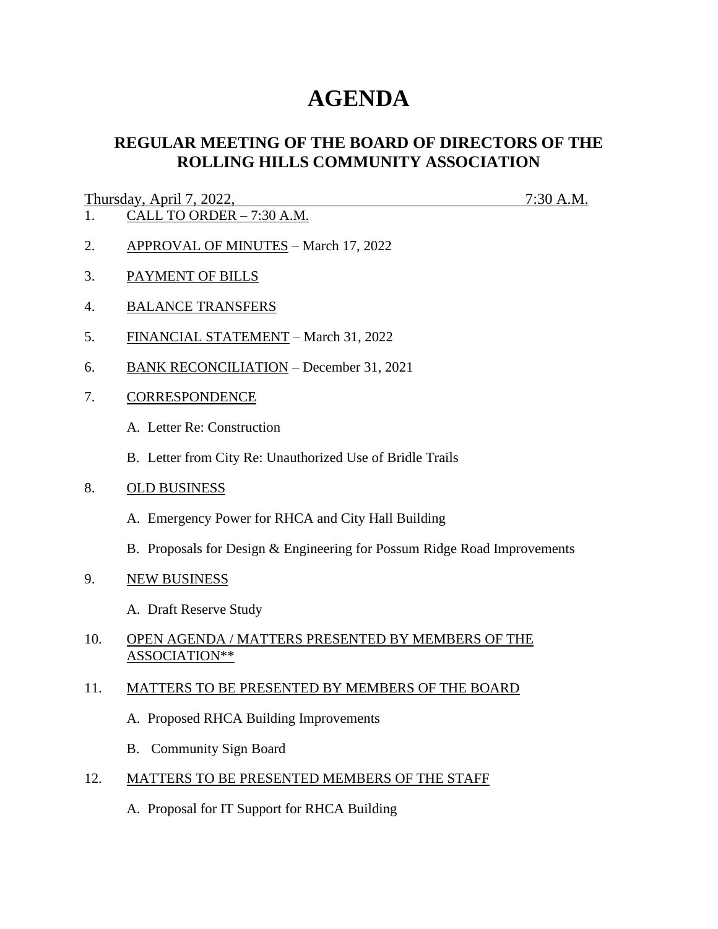# **AGENDA**

# **REGULAR MEETING OF THE BOARD OF DIRECTORS OF THE ROLLING HILLS COMMUNITY ASSOCIATION**

# Thursday, April 7, 2022, 7:30 A.M.

- 1. CALL TO ORDER 7:30 A.M.
- 2. APPROVAL OF MINUTES March 17, 2022
- 3. PAYMENT OF BILLS
- 4. BALANCE TRANSFERS
- 5. FINANCIAL STATEMENT March 31, 2022
- 6. BANK RECONCILIATION December 31, 2021
- 7. CORRESPONDENCE
	- A. Letter Re: Construction
	- B. Letter from City Re: Unauthorized Use of Bridle Trails
- 8. OLD BUSINESS
	- A. Emergency Power for RHCA and City Hall Building
	- B. Proposals for Design & Engineering for Possum Ridge Road Improvements
- 9. NEW BUSINESS
	- A. Draft Reserve Study

### 10. OPEN AGENDA / MATTERS PRESENTED BY MEMBERS OF THE ASSOCIATION\*\*

# 11. MATTERS TO BE PRESENTED BY MEMBERS OF THE BOARD

- A. Proposed RHCA Building Improvements
- B. Community Sign Board
- 12. MATTERS TO BE PRESENTED MEMBERS OF THE STAFF
	- A. Proposal for IT Support for RHCA Building